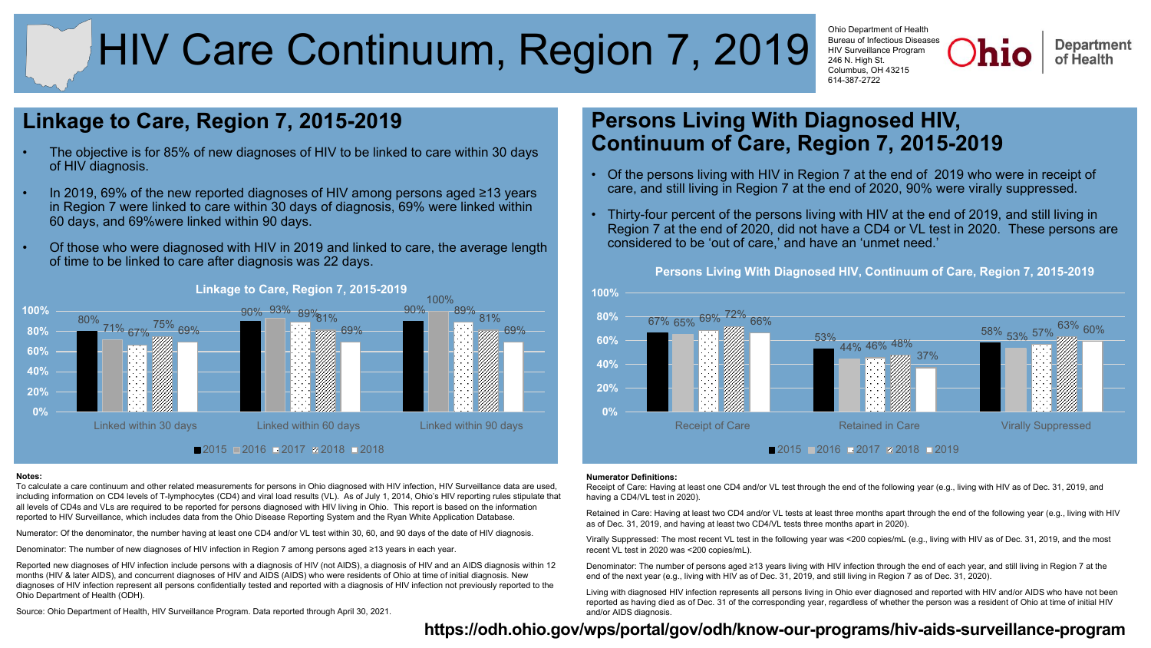# HIV Care Continuum, Region 7, 2019

Ohio Department of Health Bureau of Infectious Diseases HIV Surveillance Program 246 N. High St. Columbus, OH 43215 614-387-2722

**Department** of Health

## **Linkage to Care, Region 7, 2015-2019**

- The objective is for 85% of new diagnoses of HIV to be linked to care within 30 days of HIV diagnosis.
- In 2019, 69% of the new reported diagnoses of HIV among persons aged ≥13 years in Region 7 were linked to care within 30 days of diagnosis, 69% were linked within 60 days, and 69%were linked within 90 days.
- Of those who were diagnosed with HIV in 2019 and linked to care, the average length of time to be linked to care after diagnosis was 22 days.



### **Linkage to Care, Region 7, 2015-2019**

#### **Notes:**

To calculate a care continuum and other related measurements for persons in Ohio diagnosed with HIV infection, HIV Surveillance data are used, including information on CD4 levels of T-lymphocytes (CD4) and viral load results (VL). As of July 1, 2014, Ohio's HIV reporting rules stipulate that all levels of CD4s and VLs are required to be reported for persons diagnosed with HIV living in Ohio. This report is based on the information reported to HIV Surveillance, which includes data from the Ohio Disease Reporting System and the Ryan White Application Database.

Numerator: Of the denominator, the number having at least one CD4 and/or VL test within 30, 60, and 90 days of the date of HIV diagnosis.

Denominator: The number of new diagnoses of HIV infection in Region 7 among persons aged ≥13 years in each year.

Reported new diagnoses of HIV infection include persons with a diagnosis of HIV (not AIDS), a diagnosis of HIV and an AIDS diagnosis within 12 months (HIV & later AIDS), and concurrent diagnoses of HIV and AIDS (AIDS) who were residents of Ohio at time of initial diagnosis. New diagnoses of HIV infection represent all persons confidentially tested and reported with a diagnosis of HIV infection not previously reported to the Ohio Department of Health (ODH).

Source: Ohio Department of Health, HIV Surveillance Program. Data reported through April 30, 2021.

## **Persons Living With Diagnosed HIV, Continuum of Care, Region 7, 2015-2019**

- Of the persons living with HIV in Region 7 at the end of 2019 who were in receipt of care, and still living in Region 7 at the end of 2020, 90% were virally suppressed.
- Thirty-four percent of the persons living with HIV at the end of 2019, and still living in Region 7 at the end of 2020, did not have a CD4 or VL test in 2020. These persons are considered to be 'out of care,' and have an 'unmet need.'



#### **Persons Living With Diagnosed HIV, Continuum of Care, Region 7, 2015-2019**

#### **Numerator Definitions:**

Receipt of Care: Having at least one CD4 and/or VL test through the end of the following year (e.g., living with HIV as of Dec. 31, 2019, and having a CD4/VL test in 2020).

Retained in Care: Having at least two CD4 and/or VL tests at least three months apart through the end of the following year (e.g., living with HIV as of Dec. 31, 2019, and having at least two CD4/VL tests three months apart in 2020).

Virally Suppressed: The most recent VL test in the following year was <200 copies/mL (e.g., living with HIV as of Dec. 31, 2019, and the most recent VL test in 2020 was <200 copies/mL).

Denominator: The number of persons aged ≥13 years living with HIV infection through the end of each year, and still living in Region 7 at the end of the next year (e.g., living with HIV as of Dec. 31, 2019, and still living in Region 7 as of Dec. 31, 2020).

Living with diagnosed HIV infection represents all persons living in Ohio ever diagnosed and reported with HIV and/or AIDS who have not been reported as having died as of Dec. 31 of the corresponding year, regardless of whether the person was a resident of Ohio at time of initial HIV and/or AIDS diagnosis.

## **h[ttps://odh.ohio.gov/wps/portal/gov/odh/know-our-programs/hiv-aids-surveillance-program](https://odh.ohio.gov/wps/portal/gov/odh/know-our-programs/hiv-aids-surveillance-program)**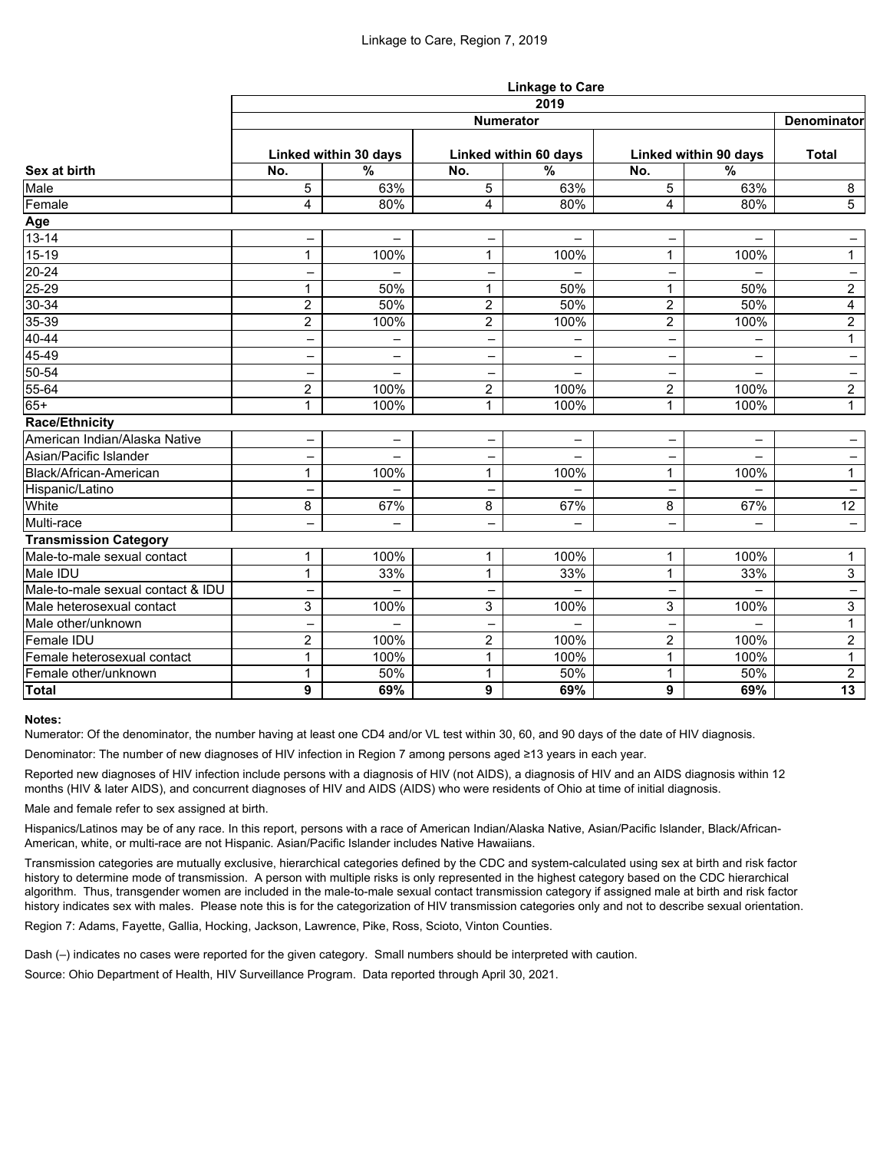|                                   | <b>Linkage to Care</b> |                          |                          |                          |                          |                          |                   |  |  |  |
|-----------------------------------|------------------------|--------------------------|--------------------------|--------------------------|--------------------------|--------------------------|-------------------|--|--|--|
|                                   | 2019                   |                          |                          |                          |                          |                          |                   |  |  |  |
| Sex at birth                      | <b>Numerator</b>       |                          |                          |                          |                          |                          |                   |  |  |  |
|                                   | Linked within 30 days  |                          | Linked within 60 days    |                          | Linked within 90 days    |                          | <b>Total</b>      |  |  |  |
|                                   | No.                    | $\frac{0}{0}$            | No.                      | $\overline{\frac{9}{6}}$ | No.                      | $\overline{\frac{9}{6}}$ |                   |  |  |  |
| Male                              | 5                      | 63%                      | 5                        | 63%                      | 5                        | 63%                      | 8                 |  |  |  |
| Female                            | 4                      | 80%                      | $\overline{\mathbf{4}}$  | 80%                      | 4                        | 80%                      | $\overline{5}$    |  |  |  |
|                                   |                        |                          |                          |                          |                          |                          |                   |  |  |  |
| Age<br>13-14                      | -                      | $\overline{\phantom{0}}$ | $\overline{\phantom{0}}$ | -                        | $\qquad \qquad -$        | $\overline{\phantom{0}}$ | $\qquad \qquad -$ |  |  |  |
| $15-19$                           | 1                      | 100%                     |                          | 100%                     | 1                        | 100%                     | $\mathbf{1}$      |  |  |  |
| $20 - 24$                         |                        |                          |                          |                          | —                        |                          | $\qquad \qquad -$ |  |  |  |
| $25 - 29$                         | 1                      | 50%                      |                          | 50%                      | 1                        | 50%                      | $\overline{2}$    |  |  |  |
| 30-34<br>35-39                    | $\overline{2}$         | 50%                      | $\overline{2}$           | 50%                      | $\overline{2}$           | 50%                      | 4                 |  |  |  |
|                                   | $\overline{2}$         | 100%                     | $\overline{2}$           | 100%                     | $\overline{2}$           | 100%                     | $\overline{2}$    |  |  |  |
| $40 - 44$                         | -                      | -                        | -                        | -                        | -                        |                          | $\mathbf{1}$      |  |  |  |
| 45-49                             | -                      | $\overline{\phantom{m}}$ |                          | -                        | —                        | -                        | $\qquad \qquad -$ |  |  |  |
| $50 - 54$                         | -                      | $\qquad \qquad -$        | -                        | -                        | -                        | $\overline{\phantom{0}}$ | $\qquad \qquad -$ |  |  |  |
| 55-64                             | $\overline{2}$         | 100%                     | $\overline{2}$           | 100%                     | $\overline{2}$           | 100%                     | $\overline{2}$    |  |  |  |
| $65+$                             | 1                      | 100%                     | 1                        | 100%                     | $\mathbf{1}$             | 100%                     | $\mathbf{1}$      |  |  |  |
| <b>Race/Ethnicity</b>             |                        |                          |                          |                          |                          |                          |                   |  |  |  |
| American Indian/Alaska Native     | -                      | $\qquad \qquad -$        |                          | $\overline{\phantom{0}}$ | $\overline{\phantom{0}}$ | $\overline{\phantom{0}}$ |                   |  |  |  |
| Asian/Pacific Islander            | -                      | $\overline{\phantom{0}}$ | $\qquad \qquad -$        |                          | -                        |                          | $\qquad \qquad -$ |  |  |  |
| Black/African-American            | 1                      | 100%                     |                          | 100%                     | 1                        | 100%                     | $\mathbf{1}$      |  |  |  |
| Hispanic/Latino                   |                        |                          |                          | -                        | -                        | -                        | -                 |  |  |  |
| White                             | 8                      | 67%                      | 8                        | 67%                      | 8                        | 67%                      | 12                |  |  |  |
| Multi-race                        | -                      |                          | -                        | -                        | -                        | -                        |                   |  |  |  |
| <b>Transmission Category</b>      |                        |                          |                          |                          |                          |                          |                   |  |  |  |
| Male-to-male sexual contact       | 1                      | 100%                     |                          | 100%                     | 1                        | 100%                     | $\mathbf 1$       |  |  |  |
| Male IDU                          | 1                      | 33%                      | 1                        | 33%                      | $\mathbf{1}$             | 33%                      | 3                 |  |  |  |
| Male-to-male sexual contact & IDU |                        | -                        |                          |                          | -                        |                          | $\qquad \qquad -$ |  |  |  |
| Male heterosexual contact         | વ<br>ັ                 | 100%                     | ર<br>ັ                   | 100%                     | ર<br>ັ                   | 100%                     | $\mathbf{3}$      |  |  |  |
| Male other/unknown                | -                      |                          |                          |                          |                          |                          | $\mathbf{1}$      |  |  |  |
| <b>Female IDU</b>                 | $\overline{2}$         | 100%                     | $\overline{2}$           | 100%                     | $\overline{2}$           | 100%                     | $\overline{2}$    |  |  |  |
| Female heterosexual contact       | 1                      | 100%                     | $\mathbf 1$              | 100%                     | $\mathbf 1$              | 100%                     | $\mathbf{1}$      |  |  |  |
| Female other/unknown              | 1                      | 50%                      | $\mathbf 1$              | 50%                      | $\mathbf{1}$             | 50%                      | $\overline{2}$    |  |  |  |
| Total                             | 9                      | 69%                      | 9                        | 69%                      | 9                        | 69%                      | 13                |  |  |  |

#### **Notes:**

Numerator: Of the denominator, the number having at least one CD4 and/or VL test within 30, 60, and 90 days of the date of HIV diagnosis.

Denominator: The number of new diagnoses of HIV infection in Region 7 among persons aged ≥13 years in each year.

Reported new diagnoses of HIV infection include persons with a diagnosis of HIV (not AIDS), a diagnosis of HIV and an AIDS diagnosis within 12 months (HIV & later AIDS), and concurrent diagnoses of HIV and AIDS (AIDS) who were residents of Ohio at time of initial diagnosis.

Male and female refer to sex assigned at birth.

Hispanics/Latinos may be of any race. In this report, persons with a race of American Indian/Alaska Native, Asian/Pacific Islander, Black/African-American, white, or multi-race are not Hispanic. Asian/Pacific Islander includes Native Hawaiians.

Transmission categories are mutually exclusive, hierarchical categories defined by the CDC and system-calculated using sex at birth and risk factor history to determine mode of transmission. A person with multiple risks is only represented in the highest category based on the CDC hierarchical algorithm. Thus, transgender women are included in the male-to-male sexual contact transmission category if assigned male at birth and risk factor history indicates sex with males. Please note this is for the categorization of HIV transmission categories only and not to describe sexual orientation.

Region 7: Adams, Fayette, Gallia, Hocking, Jackson, Lawrence, Pike, Ross, Scioto, Vinton Counties.

Dash (–) indicates no cases were reported for the given category. Small numbers should be interpreted with caution.

Source: Ohio Department of Health, HIV Surveillance Program. Data reported through April 30, 2021.